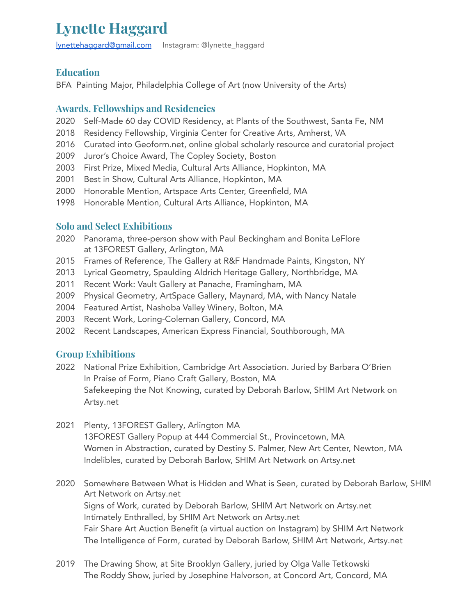# **Lynette Haggard**

Ivnettehaggard@gmail.com Instagram: @lynette\_haggard

## **Education**

BFA Painting Major, Philadelphia College of Art (now University of the Arts)

## **Awards, Fellowships and Residencies**

- 2020 Self-Made 60 day COVID Residency, at Plants of the Southwest, Santa Fe, NM
- 2018 Residency Fellowship, Virginia Center for Creative Arts, Amherst, VA
- 2016 Curated into Geoform.net, online global scholarly resource and curatorial project
- 2009 Juror's Choice Award, The Copley Society, Boston
- 2003 First Prize, Mixed Media, Cultural Arts Alliance, Hopkinton, MA
- 2001 Best in Show, Cultural Arts Alliance, Hopkinton, MA
- 2000 Honorable Mention, Artspace Arts Center, Greenfield, MA
- 1998 Honorable Mention, Cultural Arts Alliance, Hopkinton, MA

# **Solo and Select Exhibitions**

- 2020 Panorama, three-person show with Paul Beckingham and Bonita LeFlore at 13FOREST Gallery, Arlington, MA
- 2015 Frames of Reference, The Gallery at R&F Handmade Paints, Kingston, NY
- 2013 Lyrical Geometry, Spaulding Aldrich Heritage Gallery, Northbridge, MA
- 2011 Recent Work: Vault Gallery at Panache, Framingham, MA
- 2009 Physical Geometry, ArtSpace Gallery, Maynard, MA, with Nancy Natale
- 2004 Featured Artist, Nashoba Valley Winery, Bolton, MA
- 2003 Recent Work, Loring-Coleman Gallery, Concord, MA
- 2002 Recent Landscapes, American Express Financial, Southborough, MA

# **Group Exhibitions**

- 2022 National Prize Exhibition, Cambridge Art Association. Juried by Barbara O'Brien In Praise of Form, Piano Craft Gallery, Boston, MA Safekeeping the Not Knowing, curated by Deborah Barlow, SHIM Art Network on Artsy.net
- 2021 Plenty, 13FOREST Gallery, Arlington MA 13FOREST Gallery Popup at 444 Commercial St., Provincetown, MA Women in Abstraction, curated by Destiny S. Palmer, New Art Center, Newton, MA Indelibles, curated by Deborah Barlow, SHIM Art Network on Artsy.net
- 2020 Somewhere Between What is Hidden and What is Seen, curated by Deborah Barlow, SHIM Art Network on Artsy.net Signs of Work, curated by Deborah Barlow, SHIM Art Network on Artsy.net Intimately Enthralled, by SHIM Art Network on Artsy.net Fair Share Art Auction Benefit (a virtual auction on Instagram) by SHIM Art Network The Intelligence of Form, curated by Deborah Barlow, SHIM Art Network, Artsy.net
- 2019 The Drawing Show, at Site Brooklyn Gallery, juried by Olga Valle Tetkowski The Roddy Show, juried by Josephine Halvorson, at Concord Art, Concord, MA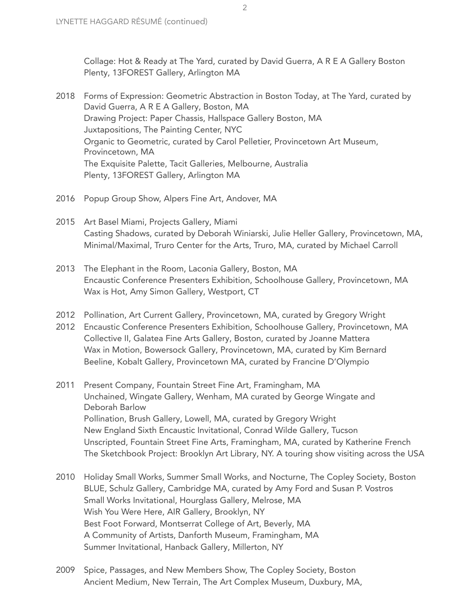Collage: Hot & Ready at The Yard, curated by David Guerra, A R E A Gallery Boston Plenty, 13FOREST Gallery, Arlington MA

- 2018 Forms of Expression: Geometric Abstraction in Boston Today, at The Yard, curated by David Guerra, A R E A Gallery, Boston, MA Drawing Project: Paper Chassis, Hallspace Gallery Boston, MA Juxtapositions, The Painting Center, NYC Organic to Geometric, curated by Carol Pelletier, Provincetown Art Museum, Provincetown, MA The Exquisite Palette, Tacit Galleries, Melbourne, Australia Plenty, 13FOREST Gallery, Arlington MA
- 2016 Popup Group Show, Alpers Fine Art, Andover, MA
- 2015 Art Basel Miami, Projects Gallery, Miami Casting Shadows, curated by Deborah Winiarski, Julie Heller Gallery, Provincetown, MA, Minimal/Maximal, Truro Center for the Arts, Truro, MA, curated by Michael Carroll
- 2013 The Elephant in the Room, Laconia Gallery, Boston, MA Encaustic Conference Presenters Exhibition, Schoolhouse Gallery, Provincetown, MA Wax is Hot, Amy Simon Gallery, Westport, CT
- 2012 Pollination, Art Current Gallery, Provincetown, MA, curated by Gregory Wright
- 2012 Encaustic Conference Presenters Exhibition, Schoolhouse Gallery, Provincetown, MA Collective II, Galatea Fine Arts Gallery, Boston, curated by Joanne Mattera Wax in Motion, Bowersock Gallery, Provincetown, MA, curated by Kim Bernard Beeline, Kobalt Gallery, Provincetown MA, curated by Francine D'Olympio
- 2011 Present Company, Fountain Street Fine Art, Framingham, MA Unchained, Wingate Gallery, Wenham, MA curated by George Wingate and Deborah Barlow Pollination, Brush Gallery, Lowell, MA, curated by Gregory Wright New England Sixth Encaustic Invitational, Conrad Wilde Gallery, Tucson Unscripted, Fountain Street Fine Arts, Framingham, MA, curated by Katherine French The Sketchbook Project: Brooklyn Art Library, NY. A touring show visiting across the USA
- 2010 Holiday Small Works, Summer Small Works, and Nocturne, The Copley Society, Boston BLUE, Schulz Gallery, Cambridge MA, curated by Amy Ford and Susan P. Vostros Small Works Invitational, Hourglass Gallery, Melrose, MA Wish You Were Here, AIR Gallery, Brooklyn, NY Best Foot Forward, Montserrat College of Art, Beverly, MA A Community of Artists, Danforth Museum, Framingham, MA Summer Invitational, Hanback Gallery, Millerton, NY
- 2009 Spice, Passages, and New Members Show, The Copley Society, Boston Ancient Medium, New Terrain, The Art Complex Museum, Duxbury, MA,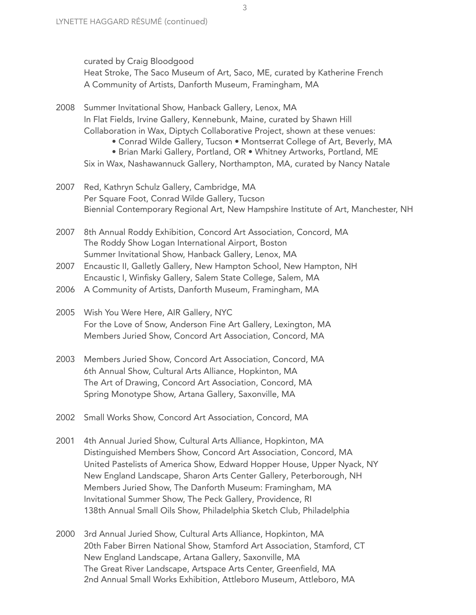curated by Craig Bloodgood Heat Stroke, The Saco Museum of Art, Saco, ME, curated by Katherine French A Community of Artists, Danforth Museum, Framingham, MA

2008 Summer Invitational Show, Hanback Gallery, Lenox, MA In Flat Fields, Irvine Gallery, Kennebunk, Maine, curated by Shawn Hill Collaboration in Wax, Diptych Collaborative Project, shown at these venues:

- Conrad Wilde Gallery, Tucson Montserrat College of Art, Beverly, MA
- Brian Marki Gallery, Portland, OR Whitney Artworks, Portland, ME
- Six in Wax, Nashawannuck Gallery, Northampton, MA, curated by Nancy Natale
- 2007 Red, Kathryn Schulz Gallery, Cambridge, MA Per Square Foot, Conrad Wilde Gallery, Tucson Biennial Contemporary Regional Art, New Hampshire Institute of Art, Manchester, NH
- 2007 8th Annual Roddy Exhibition, Concord Art Association, Concord, MA The Roddy Show Logan International Airport, Boston Summer Invitational Show, Hanback Gallery, Lenox, MA
- 2007 Encaustic II, Galletly Gallery, New Hampton School, New Hampton, NH Encaustic I, Winfisky Gallery, Salem State College, Salem, MA
- 2006 A Community of Artists, Danforth Museum, Framingham, MA
- 2005 Wish You Were Here, AIR Gallery, NYC For the Love of Snow, Anderson Fine Art Gallery, Lexington, MA Members Juried Show, Concord Art Association, Concord, MA
- 2003 Members Juried Show, Concord Art Association, Concord, MA 6th Annual Show, Cultural Arts Alliance, Hopkinton, MA The Art of Drawing, Concord Art Association, Concord, MA Spring Monotype Show, Artana Gallery, Saxonville, MA
- 2002 Small Works Show, Concord Art Association, Concord, MA
- 2001 4th Annual Juried Show, Cultural Arts Alliance, Hopkinton, MA Distinguished Members Show, Concord Art Association, Concord, MA United Pastelists of America Show, Edward Hopper House, Upper Nyack, NY New England Landscape, Sharon Arts Center Gallery, Peterborough, NH Members Juried Show, The Danforth Museum: Framingham, MA Invitational Summer Show, The Peck Gallery, Providence, RI 138th Annual Small Oils Show, Philadelphia Sketch Club, Philadelphia
- 2000 3rd Annual Juried Show, Cultural Arts Alliance, Hopkinton, MA 20th Faber Birren National Show, Stamford Art Association, Stamford, CT New England Landscape, Artana Gallery, Saxonville, MA The Great River Landscape, Artspace Arts Center, Greenfield, MA 2nd Annual Small Works Exhibition, Attleboro Museum, Attleboro, MA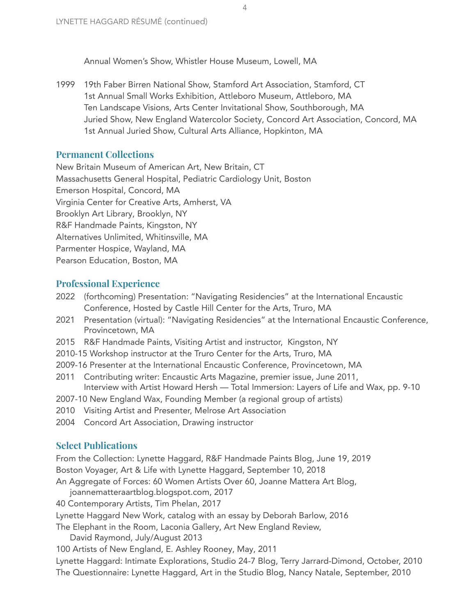Annual Women's Show, Whistler House Museum, Lowell, MA

1999 19th Faber Birren National Show, Stamford Art Association, Stamford, CT 1st Annual Small Works Exhibition, Attleboro Museum, Attleboro, MA Ten Landscape Visions, Arts Center Invitational Show, Southborough, MA Juried Show, New England Watercolor Society, Concord Art Association, Concord, MA 1st Annual Juried Show, Cultural Arts Alliance, Hopkinton, MA

### **Permanent Collections**

New Britain Museum of American Art, New Britain, CT Massachusetts General Hospital, Pediatric Cardiology Unit, Boston Emerson Hospital, Concord, MA Virginia Center for Creative Arts, Amherst, VA Brooklyn Art Library, Brooklyn, NY R&F Handmade Paints, Kingston, NY Alternatives Unlimited, Whitinsville, MA Parmenter Hospice, Wayland, MA Pearson Education, Boston, MA

#### **Professional Experience**

- 2022 (forthcoming) Presentation: "Navigating Residencies" at the International Encaustic Conference, Hosted by Castle Hill Center for the Arts, Truro, MA
- 2021 Presentation (virtual): "Navigating Residencies" at the International Encaustic Conference, Provincetown, MA
- 2015 R&F Handmade Paints, Visiting Artist and instructor, Kingston, NY
- 2010-15 Workshop instructor at the Truro Center for the Arts, Truro, MA
- 2009-16 Presenter at the International Encaustic Conference, Provincetown, MA
- 2011 Contributing writer: Encaustic Arts Magazine, premier issue, June 2011, Interview with Artist Howard Hersh — Total Immersion: Layers of Life and Wax, pp. 9-10
- 2007-10 New England Wax, Founding Member (a regional group of artists)
- 2010 Visiting Artist and Presenter, Melrose Art Association
- 2004 Concord Art Association, Drawing instructor

### **Select Publications**

From the Collection: Lynette Haggard, R&F Handmade Paints Blog, June 19, 2019

Boston Voyager, Art & Life with Lynette Haggard, September 10, 2018

An Aggregate of Forces: 60 Women Artists Over 60, Joanne Mattera Art Blog,

- joannematteraartblog.blogspot.com, 2017
- 40 Contemporary Artists, Tim Phelan, 2017

Lynette Haggard New Work, catalog with an essay by Deborah Barlow, 2016

The Elephant in the Room, Laconia Gallery, Art New England Review,

David Raymond, July/August 2013

100 Artists of New England, E. Ashley Rooney, May, 2011

Lynette Haggard: Intimate Explorations, Studio 24-7 Blog, Terry Jarrard-Dimond, October, 2010 The Questionnaire: Lynette Haggard, Art in the Studio Blog, Nancy Natale, September, 2010